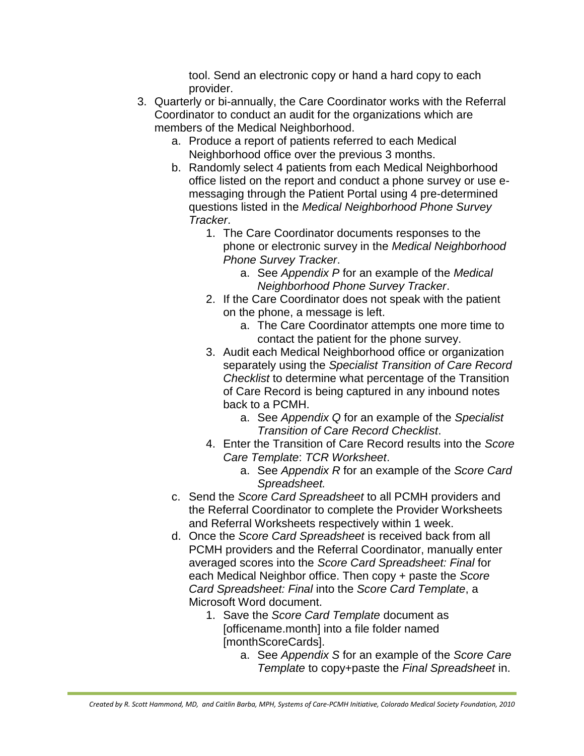tool. Send an electronic copy or hand a hard copy to each provider.

- 3. Quarterly or bi-annually, the Care Coordinator works with the Referral Coordinator to conduct an audit for the organizations which are members of the Medical Neighborhood.
	- a. Produce a report of patients referred to each Medical Neighborhood office over the previous 3 months.
	- b. Randomly select 4 patients from each Medical Neighborhood office listed on the report and conduct a phone survey or use emessaging through the Patient Portal using 4 pre-determined questions listed in the *Medical Neighborhood Phone Survey Tracker*.
		- 1. The Care Coordinator documents responses to the phone or electronic survey in the *Medical Neighborhood Phone Survey Tracker*.
			- a. See *Appendix P* for an example of the *Medical Neighborhood Phone Survey Tracker*.
		- 2. If the Care Coordinator does not speak with the patient on the phone, a message is left.
			- a. The Care Coordinator attempts one more time to contact the patient for the phone survey.
		- 3. Audit each Medical Neighborhood office or organization separately using the *Specialist Transition of Care Record Checklist* to determine what percentage of the Transition of Care Record is being captured in any inbound notes back to a PCMH.
			- a. See *Appendix Q* for an example of the *Specialist Transition of Care Record Checklist*.
		- 4. Enter the Transition of Care Record results into the *Score Care Template*: *TCR Worksheet*.
			- a. See *Appendix R* for an example of the *Score Card Spreadsheet.*
	- c. Send the *Score Card Spreadsheet* to all PCMH providers and the Referral Coordinator to complete the Provider Worksheets and Referral Worksheets respectively within 1 week.
	- d. Once the *Score Card Spreadsheet* is received back from all PCMH providers and the Referral Coordinator, manually enter averaged scores into the *Score Card Spreadsheet: Final* for each Medical Neighbor office. Then copy + paste the *Score Card Spreadsheet: Final* into the *Score Card Template*, a Microsoft Word document.
		- 1. Save the *Score Card Template* document as [officename.month] into a file folder named [monthScoreCards].
			- a. See *Appendix S* for an example of the *Score Care Template* to copy+paste the *Final Spreadsheet* in.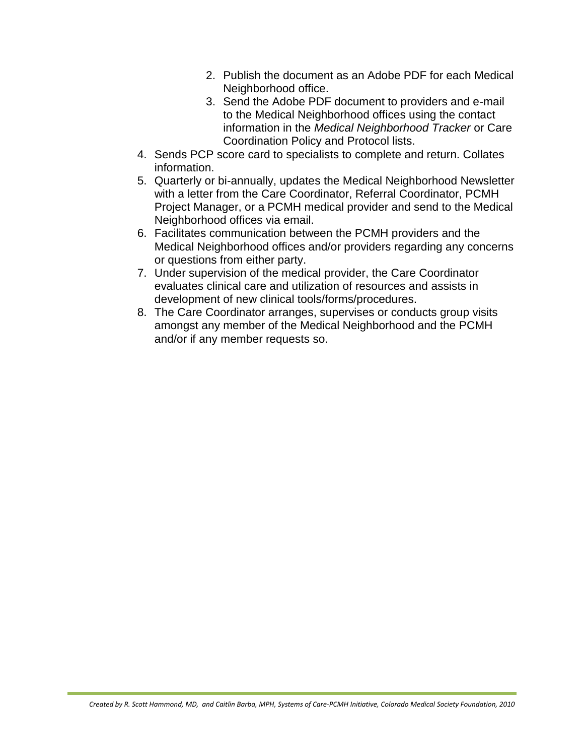- 2. Publish the document as an Adobe PDF for each Medical Neighborhood office.
- 3. Send the Adobe PDF document to providers and e-mail to the Medical Neighborhood offices using the contact information in the *Medical Neighborhood Tracker* or Care Coordination Policy and Protocol lists.
- 4. Sends PCP score card to specialists to complete and return. Collates information.
- 5. Quarterly or bi-annually, updates the Medical Neighborhood Newsletter with a letter from the Care Coordinator, Referral Coordinator, PCMH Project Manager, or a PCMH medical provider and send to the Medical Neighborhood offices via email.
- 6. Facilitates communication between the PCMH providers and the Medical Neighborhood offices and/or providers regarding any concerns or questions from either party.
- 7. Under supervision of the medical provider, the Care Coordinator evaluates clinical care and utilization of resources and assists in development of new clinical tools/forms/procedures.
- 8. The Care Coordinator arranges, supervises or conducts group visits amongst any member of the Medical Neighborhood and the PCMH and/or if any member requests so.

Medical Neighborhood omces and/or providers regard<br>or questions from either party.<br>Under supervision of the medical provider, the Care Constants clinical care and utilization of resources after<br>evaluates clinical constrain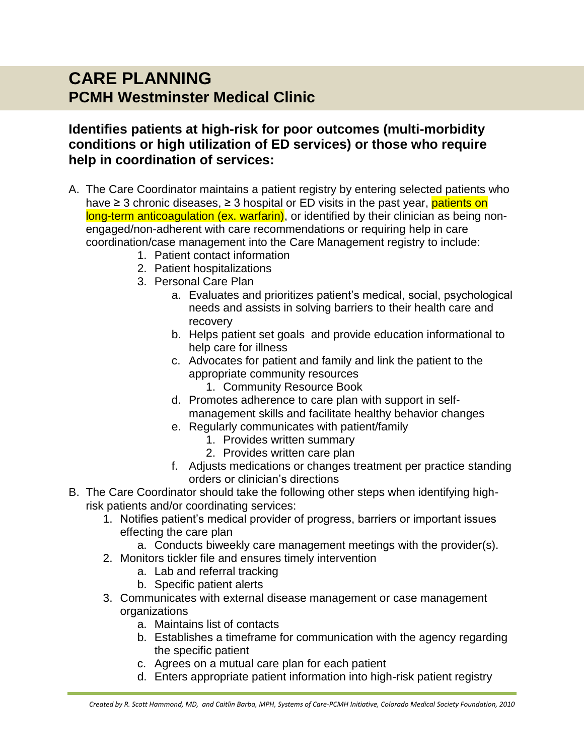## **CARE PLANNING PCMH Westminster Medical Clinic**

## **Identifies patients at high-risk for poor outcomes (multi-morbidity conditions or high utilization of ED services) or those who require help in coordination of services:**

- A. The Care Coordinator maintains a patient registry by entering selected patients who have  $\geq$  3 chronic diseases,  $\geq$  3 hospital or ED visits in the past year, **patients on** long-term anticoagulation (ex. warfarin), or identified by their clinician as being nonengaged/non-adherent with care recommendations or requiring help in care coordination/case management into the Care Management registry to include:
	- 1. Patient contact information
	- 2. Patient hospitalizations
	- 3. Personal Care Plan
- a. Evaluates and prioritizes patient's medical, social, psychological needs and assists in solving barriers to their health care and recovery Patient contact information<br>
Patient contact information<br>
Patient hospitalizations<br>
Personal Care Plan<br>
a. Evaluates and prioritizes patient's medical, soc<br>
needs and assists in solving barriers to their her<br>
recovery<br>
b.
	- b. Helps patient set goals and provide education informational to help care for illness
	- c. Advocates for patient and family and link the patient to the appropriate community resources
		- 1. Community Resource Book
	- d. Promotes adherence to care plan with support in selfmanagement skills and facilitate healthy behavior changes
	- e. Regularly communicates with patient/family
		- 1. Provides written summary
		- 2. Provides written care plan
	- Adjusts medications or changes treatment per practice standing orders or clinician's directions
- B. The Care Coordinator should take the following other steps when identifying highrisk patients and/or coordinating services:
	- 1. Notifies patient's medical provider of progress, barriers or important issues effecting the care plan
		- a. Conducts biweekly care management meetings with the provider(s).
	- 2. Monitors tickler file and ensures timely intervention
		- a. Lab and referral tracking
		- b. Specific patient alerts
	- 3. Communicates with external disease management or case management organizations
		- a. Maintains list of contacts
		- b. Establishes a timeframe for communication with the agency regarding the specific patient
		- c. Agrees on a mutual care plan for each patient
		- d. Enters appropriate patient information into high-risk patient registry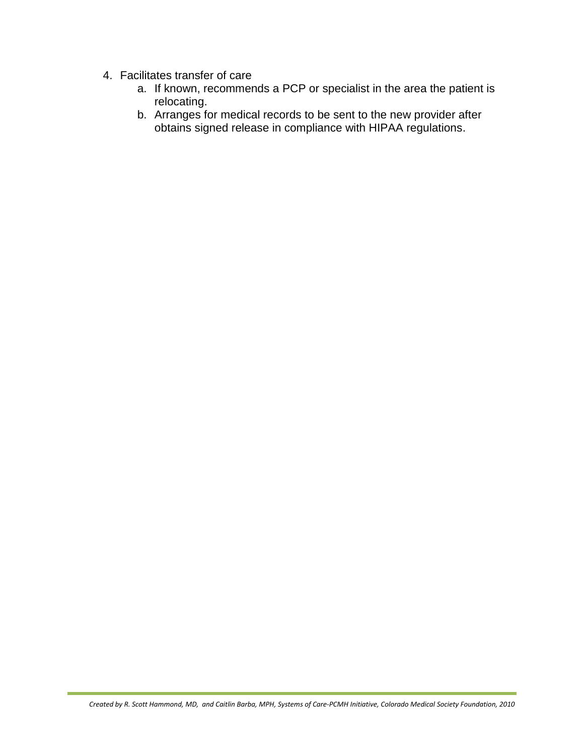- 4. Facilitates transfer of care
	- a. If known, recommends a PCP or specialist in the area the patient is relocating.
	- b. Arranges for medical records to be sent to the new provider after obtains signed release in compliance with HIPAA regulations.



*Created by R. Scott Hammond, MD, and Caitlin Barba, MPH, Systems of Care-PCMH Initiative, Colorado Medical Society Foundation, 2010*